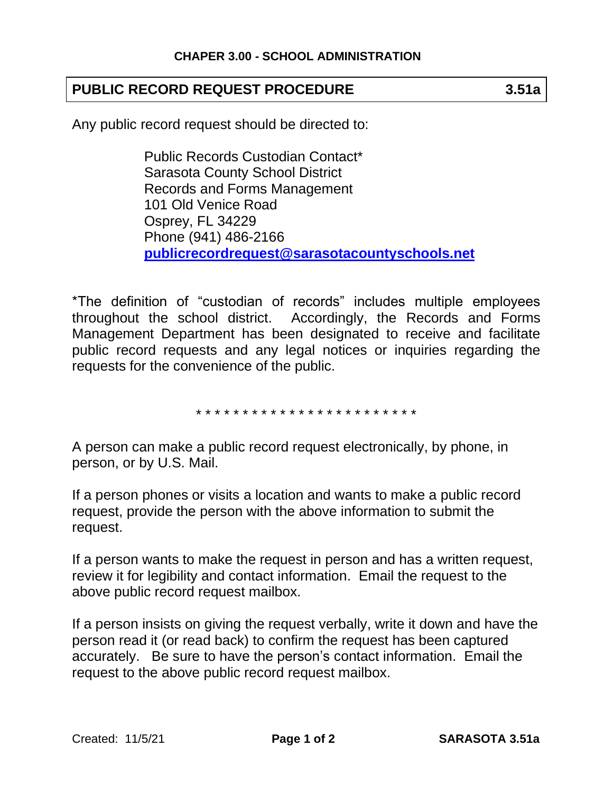## **PUBLIC RECORD REQUEST PROCEDURE 3.51a**

Any public record request should be directed to:

Public Records Custodian Contact\* Sarasota County School District Records and Forms Management 101 Old Venice Road Osprey, FL 34229 Phone (941) 486-2166 **[publicrecordrequest@sarasotacountyschools.net](mailto:publicrecordrequest@sarasotacountyschools.net)**

\*The definition of "custodian of records" includes multiple employees throughout the school district. Accordingly, the Records and Forms Management Department has been designated to receive and facilitate public record requests and any legal notices or inquiries regarding the requests for the convenience of the public.

\* \* \* \* \* \* \* \* \* \* \* \* \* \* \* \* \* \* \* \* \* \* \* \*

A person can make a public record request electronically, by phone, in person, or by U.S. Mail.

If a person phones or visits a location and wants to make a public record request, provide the person with the above information to submit the request.

If a person wants to make the request in person and has a written request, review it for legibility and contact information. Email the request to the above public record request mailbox.

If a person insists on giving the request verbally, write it down and have the person read it (or read back) to confirm the request has been captured accurately. Be sure to have the person's contact information. Email the request to the above public record request mailbox.